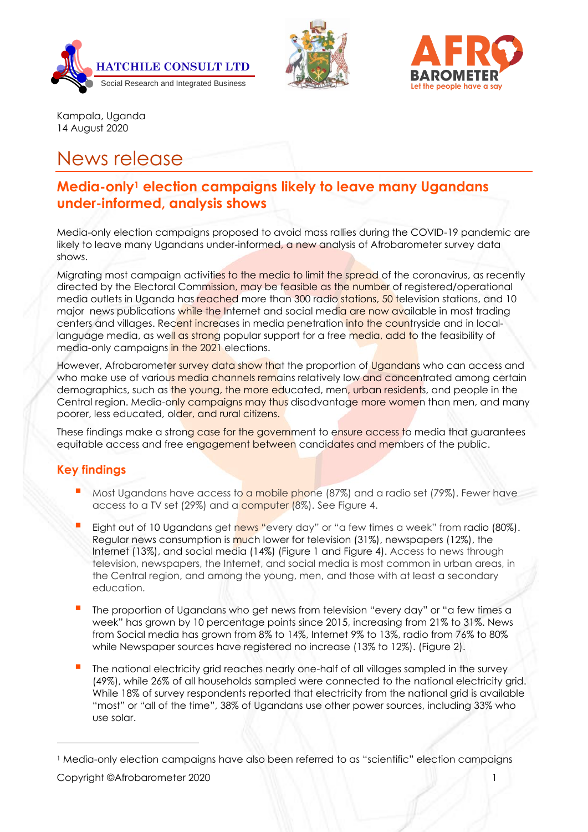





Kampala, Uganda 14 August 2020

# News release

# **Media-only<sup>1</sup> election campaigns likely to leave many Ugandans under-informed, analysis shows**

Media-only election campaigns proposed to avoid mass rallies during the COVID-19 pandemic are likely to leave many Ugandans under-informed, a new analysis of Afrobarometer survey data shows.

Migrating most campaign activities to the media to limit the spread of the coronavirus, as recently directed by the Electoral Commission, may be feasible as the number of registered/operational media outlets in Uganda has reached more than 300 radio stations, 50 television stations, and 10 major news publications while the Internet and social media are now available in most trading centers and villages. Recent increases in media penetration into the countryside and in locallanguage media, as well as strong popular support for a free media, add to the feasibility of media-only campaigns in the 2021 elections.

However, Afrobaromet<mark>er survey data show th</mark>at the proportion of <mark>Ugandan</mark>s who can access and who make use of various media channels remains relatively low and concentrated among certain demographics, such as the young, the more educated, men, urban residents, and people in the Central region. Media-only campaigns may thus disadvantage more women than men, and many poorer, less educated, older, and rural citizens.

These findings make a strong case for the government to ensure access to media that guarantees equitable access and free engagement between candidates and members of the public.

# **Key findings**

- Most Ugandans have access to a mobile phone  $(87%)$  and a radio set (79%). Fewer have access to a TV set (29%) and a computer (8%). See Figure 4.
- Eight out of 10 Ugandans get news "every day" or "a few times a week" from radio (80%). Regular news consumption is much lower for television (31%), newspapers (12%), the Internet (13%), and social media (14%) (Figure 1 and Figure 4). Access to news through television, newspapers, the Internet, and social media is most common in urban areas, in the Central region, and among the young, men, and those with at least a secondary education.
- The proportion of Ugandans who get news from television "every day" or "a few times a week" has grown by 10 percentage points since 2015, increasing from 21% to 31%. News from Social media has grown from 8% to 14%, Internet 9% to 13%, radio from 76% to 80% while Newspaper sources have registered no increase (13% to 12%). (Figure 2).
- The national electricity grid reaches nearly one-half of all villages sampled in the survey (49%), while 26% of all households sampled were connected to the national electricity grid. While 18% of survey respondents reported that electricity from the national grid is available "most" or "all of the time", 38% of Ugandans use other power sources, including 33% who use solar.

<sup>1</sup> Media-only election campaigns have also been referred to as "scientific" election campaigns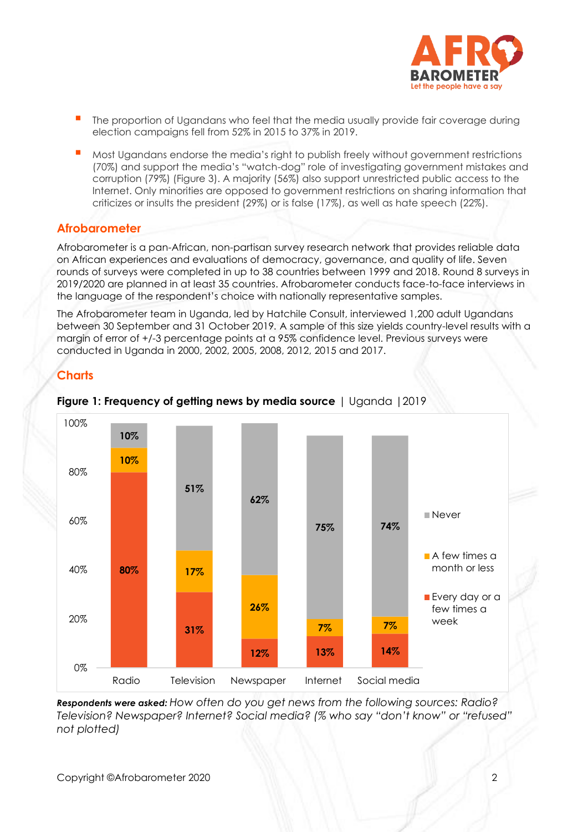

- The proportion of Ugandans who feel that the media usually provide fair coverage during election campaigns fell from 52% in 2015 to 37% in 2019.
- Most Ugandans endorse the media's right to publish freely without government restrictions (70%) and support the media's "watch-dog" role of investigating government mistakes and corruption (79%) (Figure 3). A majority (56%) also support unrestricted public access to the Internet. Only minorities are opposed to government restrictions on sharing information that criticizes or insults the president (29%) or is false (17%), as well as hate speech (22%).

# **Afrobarometer**

Afrobarometer is a pan-African, non-partisan survey research network that provides reliable data on African experiences and evaluations of democracy, governance, and quality of life. Seven rounds of surveys were completed in up to 38 countries between 1999 and 2018. Round 8 surveys in 2019/2020 are planned in at least 35 countries. Afrobarometer conducts face-to-face interviews in the language of the respondent's choice with nationally representative samples.

The Afrobarometer team in Uganda, led by Hatchile Consult, interviewed 1,200 adult Ugandans between 30 September and 31 October 2019*.* A sample of this size yields country-level results with a margin of error of +/-3 percentage points at a 95% confidence level. Previous surveys were conducted in Uganda in 2000, 2002, 2005, 2008, 2012, 2015 and 2017.

# **Charts**



### **Figure 1: Frequency of getting news by media source** | Uganda |2019

*Respondents were asked: How often do you get news from the following sources: Radio? Television? Newspaper? Internet? Social media? (% who say "don't know" or "refused" not plotted)*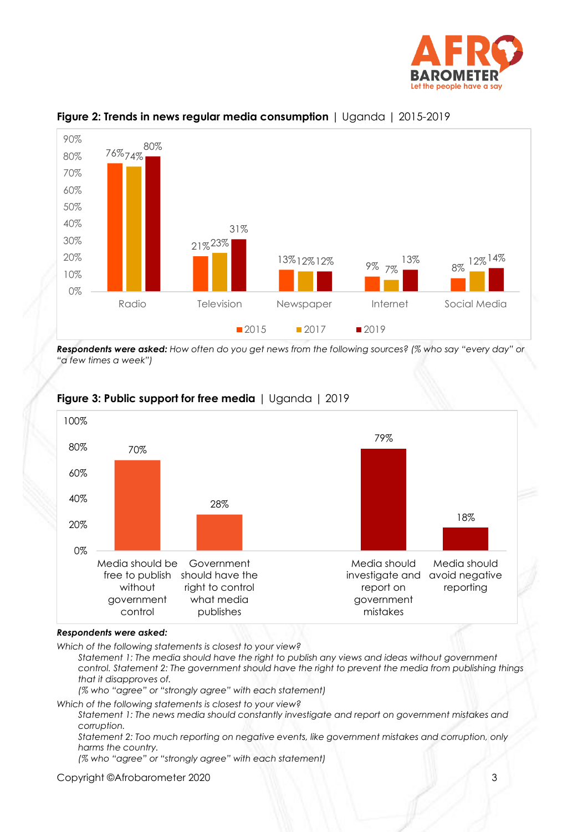



### **Figure 2: Trends in news regular media consumption** | Uganda | 2015-2019

*Respondents were asked: How often do you get news from the following sources? (% who say "every day" or "a few times a week")*



## **Figure 3: Public support for free media** | Uganda | 2019

#### *Respondents were asked:*

*Which of the following statements is closest to your view?* 

*Statement 1: The media should have the right to publish any views and ideas without government control. Statement 2: The government should have the right to prevent the media from publishing things that it disapproves of.* 

*(% who "agree" or "strongly agree" with each statement)*

*Which of the following statements is closest to your view?* 

*Statement 1: The news media should constantly investigate and report on government mistakes and corruption.* 

*Statement 2: Too much reporting on negative events, like government mistakes and corruption, only harms the country.* 

*(% who "agree" or "strongly agree" with each statement)*

Copyright ©Afrobarometer 2020 3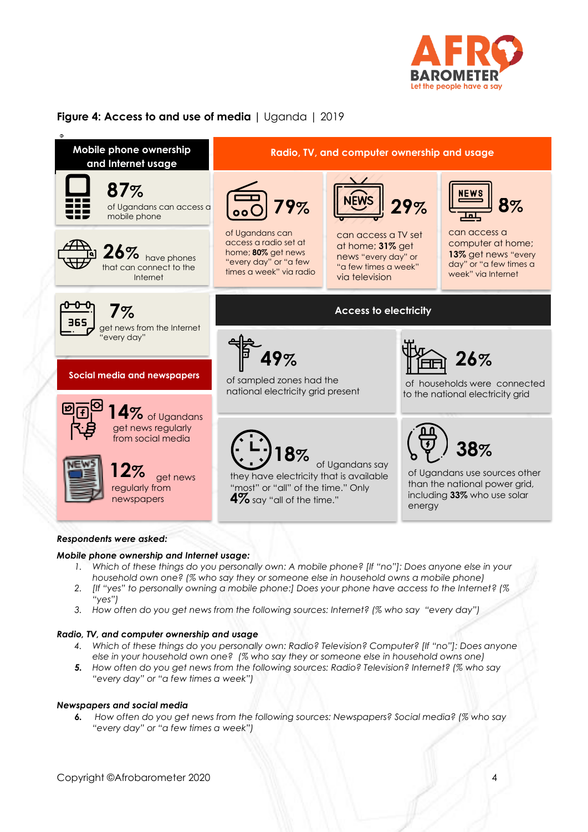

# **Figure 4: Access to and use of media |** Uganda | 2019



#### *Respondents were asked:*

#### *Mobile phone ownership and Internet usage:*

- *1. Which of these things do you personally own: A mobile phone? [If "no"]: Does anyone else in your household own one? (% who say they or someone else in household owns a mobile phone)*
- *2. [If "yes" to personally owning a mobile phone:] Does your phone have access to the Internet? (% "yes")*
- *3. How often do you get news from the following sources: Internet? (% who say "every day")*

#### *Radio, TV, and computer ownership and usage*

- *4. Which of these things do you personally own: Radio? Television? Computer? [If "no"]: Does anyone else in your household own one? (% who say they or someone else in household owns one)*
- *5. How often do you get news from the following sources: Radio? Television? Internet? (% who say "every day" or "a few times a week")*

#### *Newspapers and social media*

*6. How often do you get news from the following sources: Newspapers? Social media? (% who say "every day" or "a few times a week")*

Copyright ©Afrobarometer 2020 4